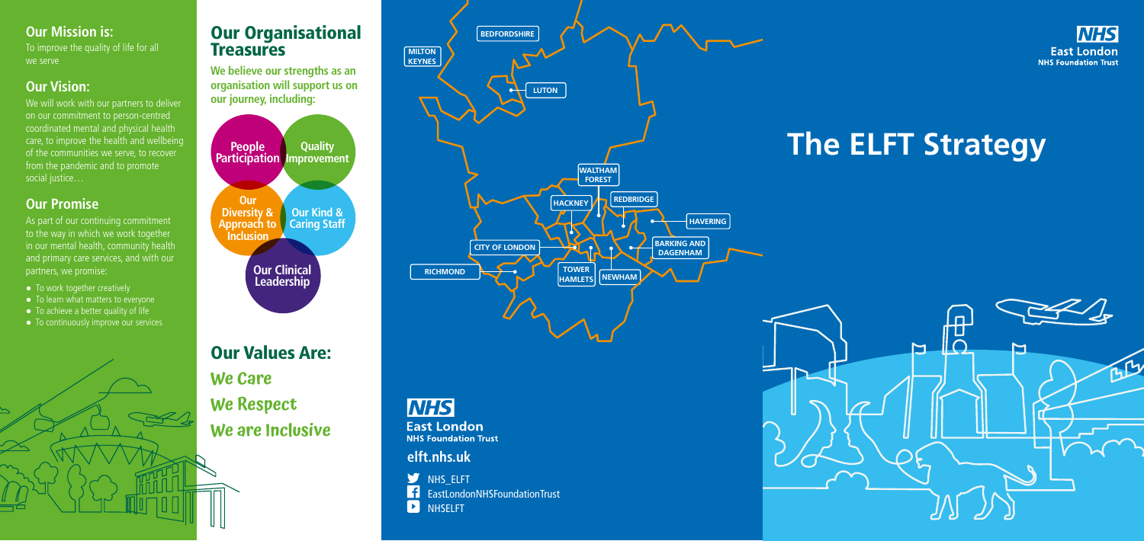**We believe our strengths as an organisation will support us on our journey, including:**

Our Values Are: **We Care We Respect We are Inclusive**

### **Our Mission is:**

To improve the quality of life for all we serve

We will work with our partners to deliver on our commitment to person-centred coordinated mental and physical health care, to improve the health and wellbeing of the communities we serve, to recover from the pandemic and to promote social justice…

## **Our Vision:**

As part of our continuing commitment to the way in which we work together in our mental health, community health and primary care services, and with our partners, we promise:

- To work together creatively
- To learn what matters to everyone
- $\bullet$  To achieve a better quality of life
- To continuously improve our services

# Our Organisational **Treasures**

## **Our Promise**